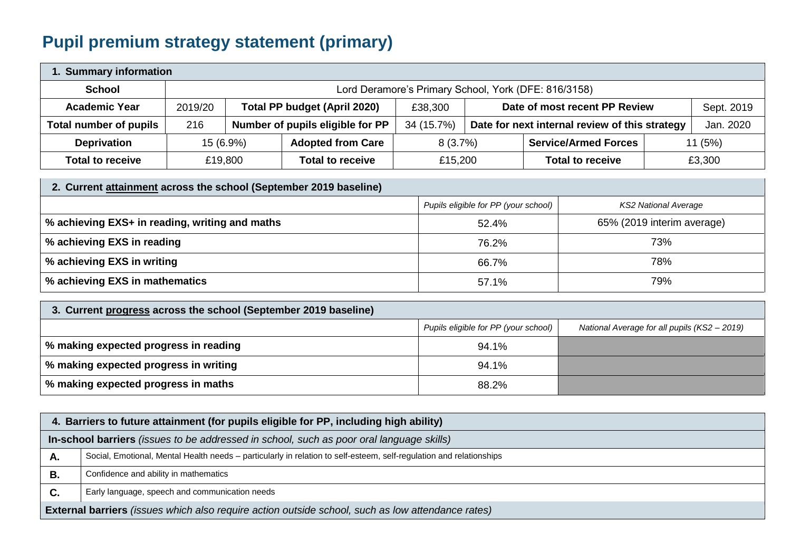## **Pupil premium strategy statement (primary)**

| 1. Summary information  |                                                      |           |                                                               |                                                              |  |                             |  |        |
|-------------------------|------------------------------------------------------|-----------|---------------------------------------------------------------|--------------------------------------------------------------|--|-----------------------------|--|--------|
| <b>School</b>           | Lord Deramore's Primary School, York (DFE: 816/3158) |           |                                                               |                                                              |  |                             |  |        |
| <b>Academic Year</b>    | 2019/20                                              |           | <b>Total PP budget (April 2020)</b>                           | Date of most recent PP Review<br>£38,300                     |  | Sept. 2019                  |  |        |
| Total number of pupils  | 216                                                  |           | Number of pupils eligible for PP                              | 34 (15.7%)<br>Date for next internal review of this strategy |  | Jan. 2020                   |  |        |
| <b>Deprivation</b>      |                                                      | 15 (6.9%) | <b>Adopted from Care</b>                                      | 8(3.7%)                                                      |  | <b>Service/Armed Forces</b> |  | 11(5%) |
| <b>Total to receive</b> |                                                      | £19,800   | <b>Total to receive</b><br><b>Total to receive</b><br>£15,200 |                                                              |  | £3,300                      |  |        |

| 2. Current attainment across the school (September 2019 baseline) |                                      |                            |  |  |  |
|-------------------------------------------------------------------|--------------------------------------|----------------------------|--|--|--|
|                                                                   | Pupils eligible for PP (your school) | KS2 National Average       |  |  |  |
| % achieving EXS+ in reading, writing and maths                    | 52.4%                                | 65% (2019 interim average) |  |  |  |
| % achieving EXS in reading                                        | 76.2%                                | 73%                        |  |  |  |
| % achieving EXS in writing                                        | 66.7%                                | 78%                        |  |  |  |
| % achieving EXS in mathematics                                    | 57.1%                                | 79%                        |  |  |  |

| 3. Current progress across the school (September 2019 baseline) |                                      |                                              |  |  |
|-----------------------------------------------------------------|--------------------------------------|----------------------------------------------|--|--|
|                                                                 | Pupils eligible for PP (your school) | National Average for all pupils (KS2 - 2019) |  |  |
| % making expected progress in reading                           | 94.1%                                |                                              |  |  |
| % making expected progress in writing                           | 94.1%                                |                                              |  |  |
| │ % making expected progress in maths                           | 88.2%                                |                                              |  |  |

| 4. Barriers to future attainment (for pupils eligible for PP, including high ability)                    |                                                                                                                     |  |  |  |
|----------------------------------------------------------------------------------------------------------|---------------------------------------------------------------------------------------------------------------------|--|--|--|
| In-school barriers (issues to be addressed in school, such as poor oral language skills)                 |                                                                                                                     |  |  |  |
| Α.                                                                                                       | Social, Emotional, Mental Health needs - particularly in relation to self-esteem, self-regulation and relationships |  |  |  |
| В.                                                                                                       | Confidence and ability in mathematics                                                                               |  |  |  |
| C.                                                                                                       | Early language, speech and communication needs                                                                      |  |  |  |
| <b>External barriers</b> (issues which also require action outside school, such as low attendance rates) |                                                                                                                     |  |  |  |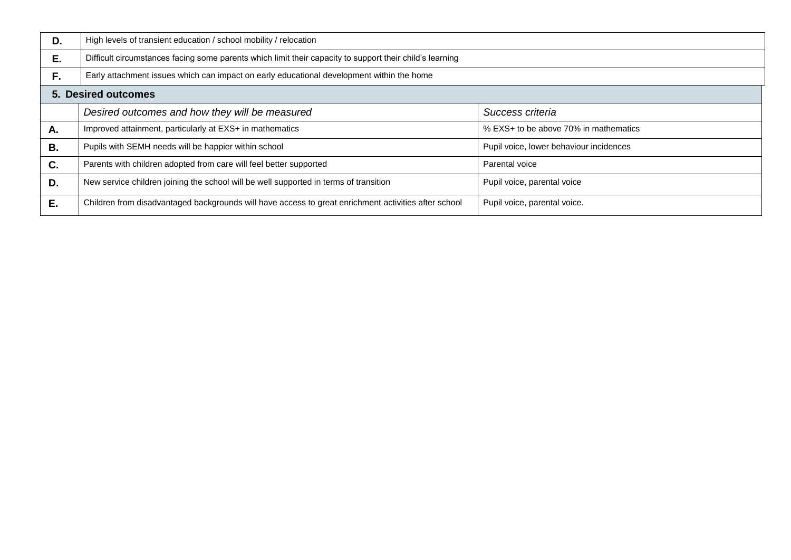| D. | High levels of transient education / school mobility / relocation                                        |                                         |  |  |  |
|----|----------------------------------------------------------------------------------------------------------|-----------------------------------------|--|--|--|
| Ε. | Difficult circumstances facing some parents which limit their capacity to support their child's learning |                                         |  |  |  |
| F. | Early attachment issues which can impact on early educational development within the home                |                                         |  |  |  |
|    | <b>5. Desired outcomes</b>                                                                               |                                         |  |  |  |
|    | Desired outcomes and how they will be measured                                                           | Success criteria                        |  |  |  |
| Α. | Improved attainment, particularly at EXS+ in mathematics                                                 | % EXS+ to be above 70% in mathematics   |  |  |  |
| В. | Pupils with SEMH needs will be happier within school                                                     | Pupil voice, lower behaviour incidences |  |  |  |
| C. | Parents with children adopted from care will feel better supported                                       | Parental voice                          |  |  |  |
| D. | New service children joining the school will be well supported in terms of transition                    | Pupil voice, parental voice             |  |  |  |
| E. | Children from disadvantaged backgrounds will have access to great enrichment activities after school     | Pupil voice, parental voice.            |  |  |  |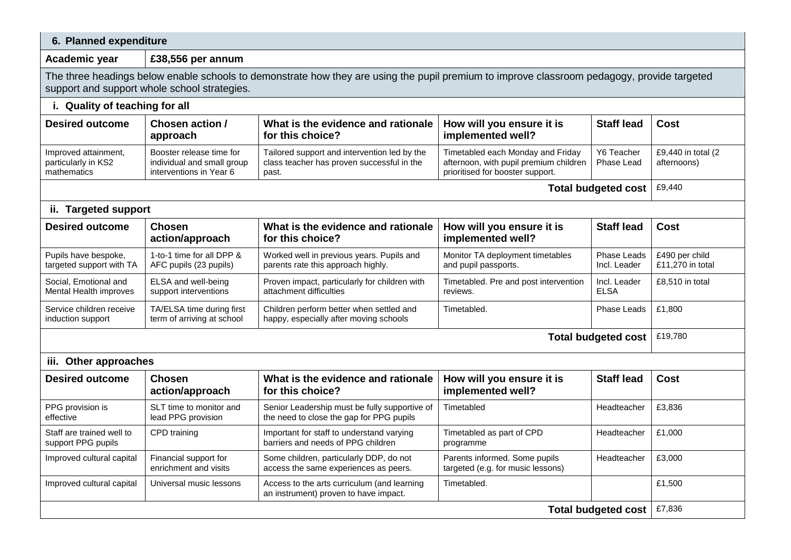## **6. Planned expenditure**

## **Academic year £38,556 per annum**

The three headings below enable schools to demonstrate how they are using the pupil premium to improve classroom pedagogy, provide targeted support and support whole school strategies.

| i. Quality of teaching for all                             |                                                                                   |                                                                                                     |                                                                                                                 |                             |                                    |  |
|------------------------------------------------------------|-----------------------------------------------------------------------------------|-----------------------------------------------------------------------------------------------------|-----------------------------------------------------------------------------------------------------------------|-----------------------------|------------------------------------|--|
| <b>Desired outcome</b>                                     | Chosen action /<br>approach                                                       | What is the evidence and rationale<br>for this choice?                                              | How will you ensure it is<br>implemented well?                                                                  | <b>Staff lead</b>           | <b>Cost</b>                        |  |
| Improved attainment,<br>particularly in KS2<br>mathematics | Booster release time for<br>individual and small group<br>interventions in Year 6 | Tailored support and intervention led by the<br>class teacher has proven successful in the<br>past. | Timetabled each Monday and Friday<br>afternoon, with pupil premium children<br>prioritised for booster support. | Y6 Teacher<br>Phase Lead    | £9,440 in total (2)<br>afternoons) |  |
| £9,440<br><b>Total budgeted cost</b>                       |                                                                                   |                                                                                                     |                                                                                                                 |                             |                                    |  |
| ii. Targeted support                                       |                                                                                   |                                                                                                     |                                                                                                                 |                             |                                    |  |
| <b>Desired outcome</b>                                     | <b>Chosen</b><br>action/approach                                                  | What is the evidence and rationale<br>for this choice?                                              | How will you ensure it is<br>implemented well?                                                                  | <b>Staff lead</b>           | Cost                               |  |
| Pupils have bespoke,<br>targeted support with TA           | 1-to-1 time for all DPP &<br>AFC pupils (23 pupils)                               | Worked well in previous years. Pupils and<br>parents rate this approach highly.                     | Monitor TA deployment timetables<br>and pupil passports.                                                        | Phase Leads<br>Incl. Leader | £490 per child<br>£11,270 in total |  |
| Social, Emotional and<br>Mental Health improves            | ELSA and well-being<br>support interventions                                      | Proven impact, particularly for children with<br>attachment difficulties                            | Timetabled. Pre and post intervention<br>reviews.                                                               | Incl. Leader<br><b>ELSA</b> | £8,510 in total                    |  |
| Service children receive<br>induction support              | TA/ELSA time during first<br>term of arriving at school                           | Children perform better when settled and<br>happy, especially after moving schools                  | Timetabled.                                                                                                     | Phase Leads                 | £1,800                             |  |
| £19,780<br><b>Total budgeted cost</b>                      |                                                                                   |                                                                                                     |                                                                                                                 |                             |                                    |  |
| iii. Other approaches                                      |                                                                                   |                                                                                                     |                                                                                                                 |                             |                                    |  |
| <b>Desired outcome</b>                                     | <b>Chosen</b><br>action/approach                                                  | What is the evidence and rationale<br>for this choice?                                              | How will you ensure it is<br>implemented well?                                                                  | <b>Staff lead</b>           | Cost                               |  |
| PPG provision is<br>effective                              | SLT time to monitor and<br>lead PPG provision                                     | Senior Leadership must be fully supportive of<br>the need to close the gap for PPG pupils           | Timetabled                                                                                                      | Headteacher                 | £3,836                             |  |
| Staff are trained well to<br>support PPG pupils            | CPD training                                                                      | Important for staff to understand varying<br>barriers and needs of PPG children                     | Timetabled as part of CPD<br>programme                                                                          | Headteacher                 | £1,000                             |  |
| Improved cultural capital                                  | Financial support for<br>enrichment and visits                                    | Some children, particularly DDP, do not<br>access the same experiences as peers.                    | Parents informed. Some pupils<br>targeted (e.g. for music lessons)                                              | Headteacher                 | £3,000                             |  |
| Improved cultural capital                                  | Universal music lessons                                                           | Access to the arts curriculum (and learning<br>an instrument) proven to have impact.                | Timetabled.                                                                                                     |                             | £1,500                             |  |
| <b>Total budgeted cost</b>                                 |                                                                                   |                                                                                                     |                                                                                                                 |                             | £7,836                             |  |